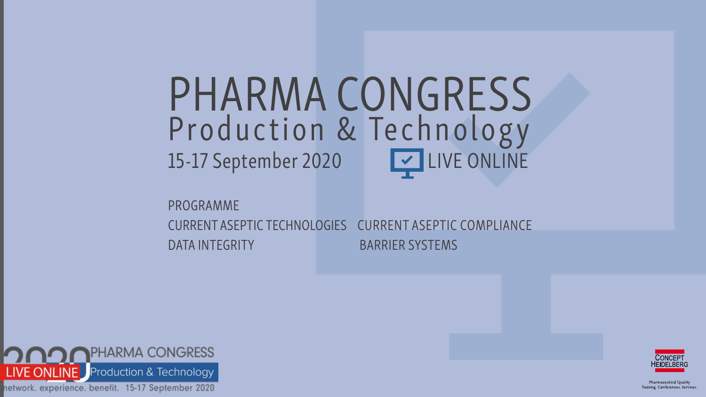PROGRAMME CURRENT ASEPTIC TECHNOLOGIES CURRENT ASEPTIC COMPLIANCE DATA INTEGRITY BARRIER SYSTEMS





**Pharmaceutical Ouality** Training. Conferences. Services.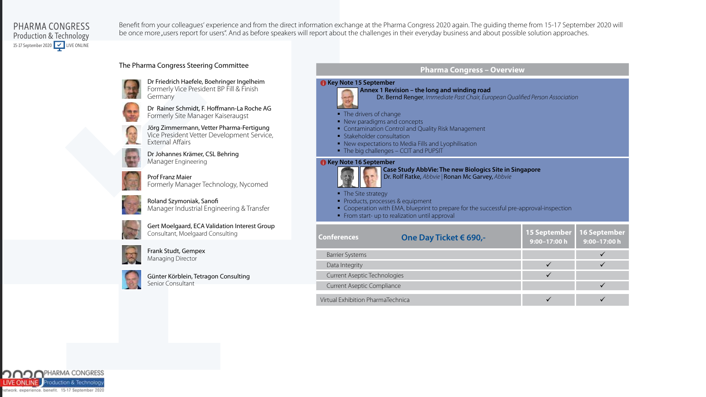

Benefit from your colleagues' experience and from the direct information exchange at the Pharma Congress 2020 again. The guiding theme from 15-17 September 2020 will be once more "users report for users". And as before speakers will report about the challenges in their everyday business and about possible solution approaches.

#### The Pharma Congress Steering Committee



Dr Friedrich Haefele, Boehringer Ingelheim Formerly Vice President BP Fill & Finish **Germany** 

Dr Rainer Schmidt, F. Hoffmann-La Roche AG Formerly Site Manager Kaiseraugst

Jörg Zimmermann, Vetter Pharma-Fertigung Vice President Vetter Development Service, External Affairs

Dr Johannes Krämer, CSL Behring Manager Engineering

Prof Franz Maier Formerly Manager Technology, Nycomed

Roland Szymoniak, Sanofi Manager Industrial Engineering & Transfer

Gert Moelgaard, ECA Validation Interest Group Consultant, Moelgaard Consulting



Frank Studt, Gempex Managing Director



Günter Körblein, Tetragon Consulting Senior Consultant

#### **Pharma Congress – Overview**

#### **i** Key Note 15 September



• The drivers of change

- New paradigms and concepts
- **Contamination Control and Quality Risk Management**
- **Stakeholder consultation**
- New expectations to Media Fills and Lyophilisation
- The big challenges CCIT and PUPSIT

#### i **Key Note 16 September**



**Case Study AbbVie: The new Biologics Site in Singapore** Dr. Rolf Ratke, *Abbvie |* Ronan Mc Garvey, *Abbvie*

- The Site strategy
- Products, processes & equipment
- Cooperation with EMA, blueprint to prepare for the successful pre-approval-inspection
- From start- up to realization until approval

| <b>Conferences</b>                | One Day Ticket € 690,- | <b>15 September</b><br>9:00-17:00 h | 16 September<br>$9:00-17:00h$ |
|-----------------------------------|------------------------|-------------------------------------|-------------------------------|
| <b>Barrier Systems</b>            |                        |                                     |                               |
| Data Integrity                    |                        |                                     |                               |
| Current Aseptic Technologies      |                        |                                     |                               |
| <b>Current Aseptic Compliance</b> |                        |                                     |                               |
| Virtual Exhibition PharmaTechnica |                        |                                     |                               |

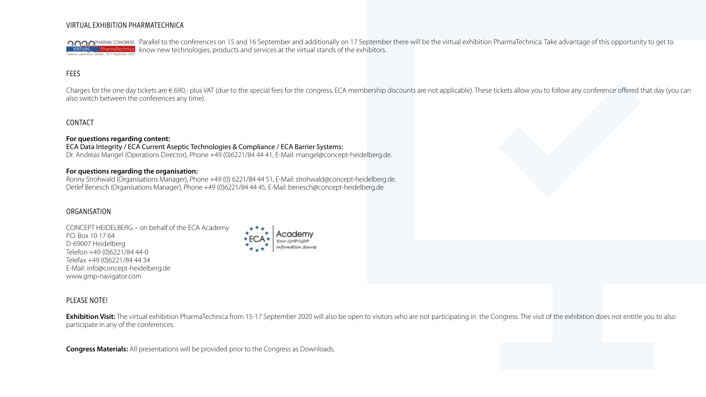#### VIRTUAL EXHIBITION PHARMATECHNICA

COOPHARMA CONGRESS Parallel to the conferences on 15 and 16 September and additionally on 17 September there will be the virtual exhibition PharmaTechnica. Take advantage of this opportunity to get to know new technologies, products and services at the virtual stands of the exhibitors.

#### **FEES**

Charges for the one day tickets are € 690,- plus VAT (due to the special fees for the congress, ECA membership discounts are not applicable). These tickets allow you to follow any conference offered that day (you can also switch between the conferences any time).

#### CONTACT

#### **For questions regarding content:**

#### ECA Data Integrity / ECA Current Aseptic Technologies & Compliance / ECA Barrier Systems:

Dr. Andreas Mangel (Operations Director), Phone +49 (0)6221/84 44 41, E-Mail: mangel@concept-heidelberg.de.

#### **For questions regarding the organisation:**

Ronny Strohwald (Organisations Manager), Phone +49 (0) 6221/84 44 51, E-Mail: strohwald@concept-heidelberg.de. Detlef Benesch (Organisations Manager), Phone +49 (0)6221/84 44 45, E-Mail: benesch@concept-heidelberg.de.

#### ORGANISATION

CONCEPT HEIDELBERG – on behalf of the ECA Academy P.O. Box 10 17 64 D-69007 Heidelberg Telefon +49 (0)6221/84 44-0 Telefax +49 (0)6221/84 44 34 E-Mail: info@concept-heidelberg.de www.gmp-navigator.com



#### PLEASE NOTE!

**Exhibition Visit:** The virtual exhibition PharmaTechnica from 15-17 September 2020 will also be open to visitors who are not participating in the Congress. The visit of the exhibition does not entitle you to also participate in any of the conferences.

**Congress Materials:** All presentations will be provided prior to the Congress as Downloads.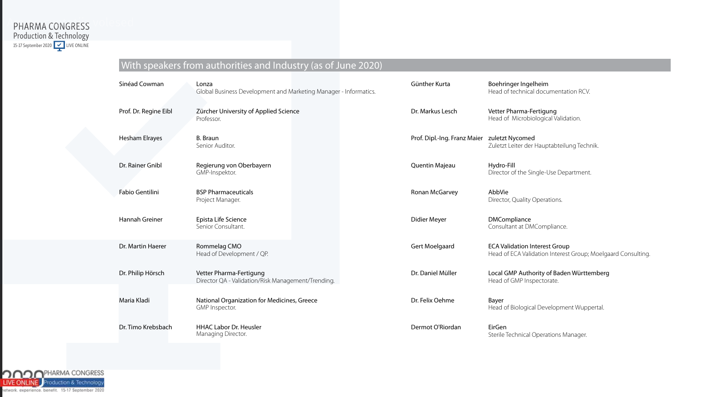#### PHARMA CONGRESS Production & Technology 15-17 September 2020 | <u>V</u> | LIVE ONLINE PHARMA CONGRESS

|  | With speakers from authorities and Industry (as of June 2020) |  |
|--|---------------------------------------------------------------|--|
|  |                                                               |  |

| Sinéad Cowman         | Lonza<br>Global Business Development and Marketing Manager - Informatics.     | Günther Kurta                | Boehringer Ingelheim<br>Head of technical documentation RCV.                                         |
|-----------------------|-------------------------------------------------------------------------------|------------------------------|------------------------------------------------------------------------------------------------------|
| Prof. Dr. Regine Eibl | Zürcher University of Applied Science<br>Professor.                           | Dr. Markus Lesch             | Vetter Pharma-Fertigung<br>Head of Microbiological Validation.                                       |
| <b>Hesham Elrayes</b> | B. Braun<br>Senior Auditor.                                                   | Prof. Dipl.-Ing. Franz Maier | zuletzt Nycomed<br>Zuletzt Leiter der Hauptabteilung Technik.                                        |
| Dr. Rainer Gnibl      | Regierung von Oberbayern<br>GMP-Inspektor.                                    | Quentin Majeau               | Hydro-Fill<br>Director of the Single-Use Department.                                                 |
| Fabio Gentilini       | <b>BSP Pharmaceuticals</b><br>Project Manager.                                | Ronan McGarvey               | AbbVie<br>Director, Quality Operations.                                                              |
| Hannah Greiner        | Epista Life Science<br>Senior Consultant.                                     | Didier Meyer                 | <b>DMCompliance</b><br>Consultant at DMCompliance.                                                   |
| Dr. Martin Haerer     | Rommelag CMO<br>Head of Development / QP.                                     | Gert Moelgaard               | <b>ECA Validation Interest Group</b><br>Head of ECA Validation Interest Group; Moelgaard Consulting. |
| Dr. Philip Hörsch     | Vetter Pharma-Fertigung<br>Director QA - Validation/Risk Management/Trending. | Dr. Daniel Müller            | Local GMP Authority of Baden Württemberg<br>Head of GMP Inspectorate.                                |
| Maria Kladi           | National Organization for Medicines, Greece<br>GMP Inspector.                 | Dr. Felix Oehme              | Bayer<br>Head of Biological Development Wuppertal.                                                   |
| Dr. Timo Krebsbach    | <b>HHAC Labor Dr. Heusler</b><br>Managing Director.                           | Dermot O'Riordan             | EirGen<br>Sterile Technical Operations Manager.                                                      |

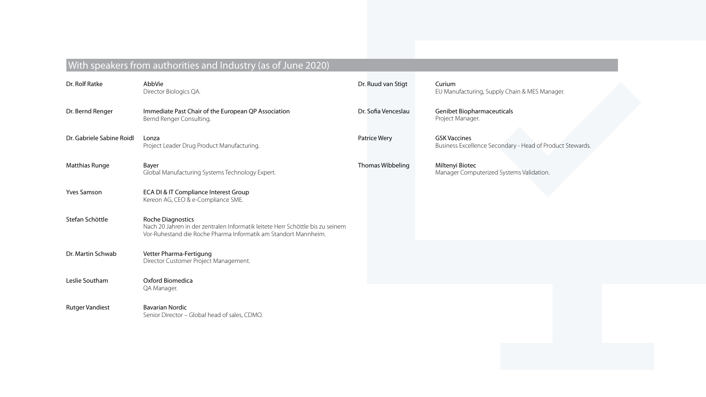### With speakers from authorities and Industry (as of June 2020)

| Dr. Rolf Ratke            | AbbVie<br>Director Biologics QA.                                                                                                                                              | Dr. Ruud van Stigt  | Curium<br>EU Manufacturing, Supply Chain & MES Manager.                          |
|---------------------------|-------------------------------------------------------------------------------------------------------------------------------------------------------------------------------|---------------------|----------------------------------------------------------------------------------|
| Dr. Bernd Renger          | Immediate Past Chair of the European QP Association<br>Bernd Renger Consulting.                                                                                               | Dr. Sofia Venceslau | <b>Genibet Biopharmaceuticals</b><br>Project Manager.                            |
| Dr. Gabriele Sabine Roidl | Lonza<br>Project Leader Drug Product Manufacturing.                                                                                                                           | Patrice Wery        | <b>GSK Vaccines</b><br>Business Excellence Secondary - Head of Product Stewards. |
| Matthias Runge            | Bayer<br>Global Manufacturing Systems Technology Expert.                                                                                                                      | Thomas Wibbeling    | Miltenyi Biotec<br>Manager Computerized Systems Validation.                      |
| <b>Yves Samson</b>        | ECA DI & IT Compliance Interest Group<br>Kereon AG, CEO & e-Compliance SME.                                                                                                   |                     |                                                                                  |
| Stefan Schöttle           | <b>Roche Diagnostics</b><br>Nach 20 Jahren in der zentralen Informatik leitete Herr Schöttle bis zu seinem<br>Vor-Ruhestand die Roche Pharma Informatik am Standort Mannheim. |                     |                                                                                  |
| Dr. Martin Schwab         | Vetter Pharma-Fertigung<br>Director Customer Project Management.                                                                                                              |                     |                                                                                  |
| Leslie Southam            | Oxford Biomedica<br>QA Manager.                                                                                                                                               |                     |                                                                                  |
| <b>Rutger Vandiest</b>    | <b>Bavarian Nordic</b><br>Senior Director - Global head of sales, CDMO.                                                                                                       |                     |                                                                                  |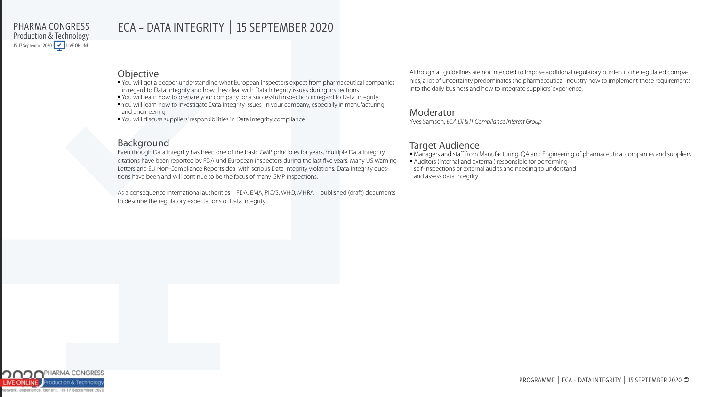### ECA – DATA INTEGRITY | 15 SEPTEMBER 2020

#### **Objective**

- You will get a deeper understanding what European inspectors expect from pharmaceutical companies in regard to Data Integrity and how they deal with Data Integrity issues during inspections
- You will learn how to prepare your company for a successful inspection in regard to Data Integrity
- You will learn how to investigate Data Integrity issues in your company, especially in manufacturing and engineering
- You will discuss suppliers' responsibilities in Data Integrity compliance

#### Background

Even though Data Integrity has been one of the basic GMP principles for years, multiple Data Integrity citations have been reported by FDA und European inspectors during the last five years. Many US Warning Letters and EU Non-Compliance Reports deal with serious Data Integrity violations. Data Integrity questions have been and will continue to be the focus of many GMP inspections.

As a consequence international authorities – FDA, EMA, PIC/S, WHO, MHRA – published (draft) documents to describe the regulatory expectations of Data Integrity.

Although all guidelines are not intended to impose additional regulatory burden to the regulated companies, a lot of uncertainty predominates the pharmaceutical industry how to implement these requirements into the daily business and how to integrate suppliers' experience.

#### Moderator

Yves Samson, *ECA DI & IT Compliance Interest Group*

#### Target Audience

Managers and staff from Manufacturing, QA and Engineering of pharmaceutical companies and suppliers

 Auditors (internal and external) responsible for performing self-inspections or external audits and needing to understand and assess data integrity

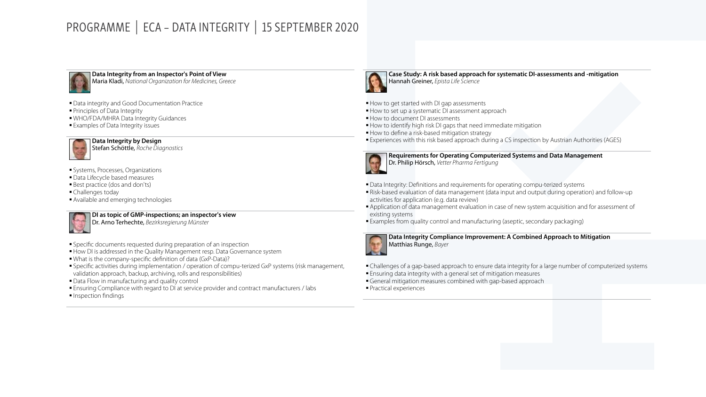### PROGRAMME | ECA – DATA INTEGRITY | 15 SEPTEMBER 2020



**Data Integrity from an Inspector's Point of View**

Maria Kladi, *National Organization for Medicines, Greece*

- Data integrity and Good Documentation Practice
- **Principles of Data Integrity**
- WHO/FDA/MHRA Data Integrity Guidances
- Examples of Data Integrity issues



**Data Integrity by Design** Stefan Schöttle, *Roche Diagnostics*

- Systems, Processes, Organizations
- Data Lifecycle based measures
- **Best practice (dos and don'ts)**
- **Challenges today**
- **Available and emerging technologies**



**DI as topic of GMP-inspections; an inspector's view** 

Dr. Arno Terhechte, *Bezirksregierung Münster*

- Specific documents requested during preparation of an inspection
- How DI is addressed in the Quality Management resp. Data Governance system
- What is the company-specific definition of data (GxP-Data)?
- Specific activities during implementation / operation of compu-terized GxP systems (risk management, validation approach, backup, archiving, rolls and responsibilities)
- Data Flow in manufacturing and quality control
- Ensuring Compliance with regard to DI at service provider and contract manufacturers / labs
- **Inspection findings**



**Case Study: A risk based approach for systematic DI-assessments and -mitigation**  Hannah Greiner, *Epista Life Science*

- How to get started with DI gap assessments
- How to set up a systematic DI assessment approach
- How to document DI assessments
- How to identify high risk DI gaps that need immediate mitigation
- How to define a risk-based mitigation strategy

Experiences with this risk based approach during a CS inspection by Austrian Authorities (AGES)



**Requirements for Operating Computerized Systems and Data Management**  Dr. Philip Hörsch, *Vetter Pharma Fertigung*

- Data Integrity: Definitions and requirements for operating compu-terized systems
- Risk-based evaluation of data management (data input and output during operation) and follow-up activities for application (e.g. data review)
- Application of data management evaluation in case of new system acquisition and for assessment of existing systems
- Examples from quality control and manufacturing (aseptic, secondary packaging)

#### **Data Integrity Compliance Improvement: A Combined Approach to Mitigation**



Matthias Runge, *Bayer*

- Challenges of a gap-based approach to ensure data integrity for a large number of computerized systems Ensuring data integrity with a general set of mitigation measures
- General mitigation measures combined with gap-based approach
- Practical experiences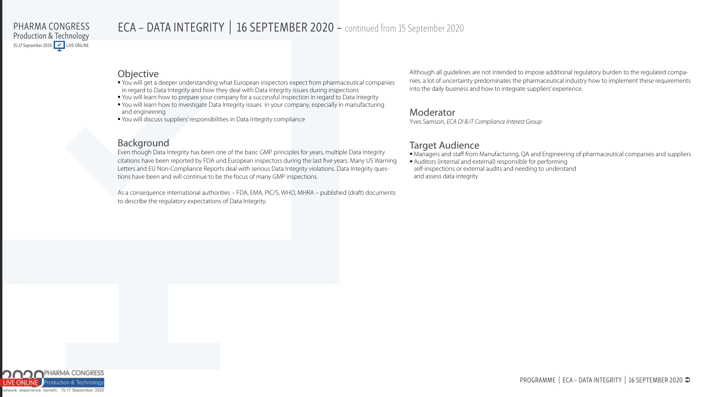### ECA - DATA INTEGRITY | 16 SEPTEMBER 2020 - continued from 15 September 2020

#### **Objective**

- You will get a deeper understanding what European inspectors expect from pharmaceutical companies in regard to Data Integrity and how they deal with Data Integrity issues during inspections
- You will learn how to prepare your company for a successful inspection in regard to Data Integrity
- You will learn how to investigate Data Integrity issues in your company, especially in manufacturing and engineering
- You will discuss suppliers' responsibilities in Data Integrity compliance

#### Background

Even though Data Integrity has been one of the basic GMP principles for years, multiple Data Integrity citations have been reported by FDA und European inspectors during the last five years. Many US Warning Letters and EU Non-Compliance Reports deal with serious Data Integrity violations. Data Integrity questions have been and will continue to be the focus of many GMP inspections.

As a consequence international authorities – FDA, EMA, PIC/S, WHO, MHRA – published (draft) documents to describe the regulatory expectations of Data Integrity.

Although all guidelines are not intended to impose additional regulatory burden to the regulated companies, a lot of uncertainty predominates the pharmaceutical industry how to implement these requirements into the daily business and how to integrate suppliers' experience.

#### Moderator

Yves Samson, *ECA DI & IT Compliance Interest Group*

#### Target Audience

Managers and staff from Manufacturing, QA and Engineering of pharmaceutical companies and suppliers

 Auditors (internal and external) responsible for performing self-inspections or external audits and needing to understand and assess data integrity

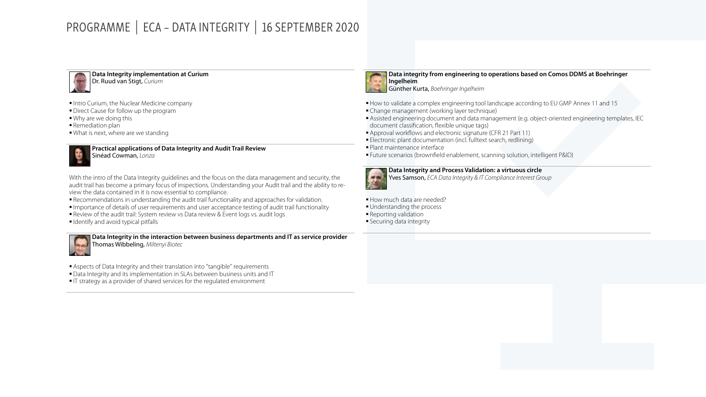### PROGRAMME | ECA – DATA INTEGRITY | 16 SEPTEMBER 2020



**Data Integrity implementation at Curium** Dr. Ruud van Stigt, *Curium*

- Intro Curium, the Nuclear Medicine company
- **Direct Cause for follow up the program**
- Why are we doing this
- **Remediation plan**
- What is next, where are we standing

**Practical applications of Data Integrity and Audit Trail Review**

Sinéad Cowman, *Lonza*

With the intro of the Data Integrity guidelines and the focus on the data management and security, the<br>audit trail has become a primary focus of inspections. Understanding your Audit trail and the ability to re-With the intro of the Data Integrity guidelines and the focus on the data management and security, the view the data contained in it is now essential to compliance.

- extends and contained in the new essential to compliance.<br>• Recommendations in understanding the audit trail functionality and approaches for validation.
	- Importance of details of user requirements and user acceptance testing of audit trail functionality
	- Review of the audit trail: System review vs Data review & Event logs vs. audit logs
	- **I** Identify and avoid typical pitfalls

**Data Integrity in the interaction between business departments and IT as service provider** Thomas Wibbeling, *Miltenyi Biotec*

- Aspects of Data Integrity and their translation into "tangible" requirements
- Data Integrity and its implementation in SLAs between business units and IT
- IT strategy as a provider of shared services for the regulated environment

**Data integrity from engineering to operations based on Comos DDMS at Boehringer Ingelheim**

- Günther Kurta, *Boehringer Ingelheim*
- How to validate a complex engineering tool landscape according to EU GMP Annex 11 and 15
- Change management (working layer technique)
- Assisted engineering document and data management (e.g. object-oriented engineering templates, IEC document classification, flexible unique tags)
- Approval workflows and electronic signature (CFR 21 Part 11)
- Electronic plant documentation (incl. fulltext search, redlining)
- Plant maintenance interface
- Future scenarios (brownfield enablement, scanning solution, intelligent P&ID)



**Data Integrity and Process Validation: a virtuous circle** 

Yves Samson, *ECA Data Integrity & IT Compliance Interest Group*

How much data are needed? **Understanding the process Reporting validation Securing data integrity**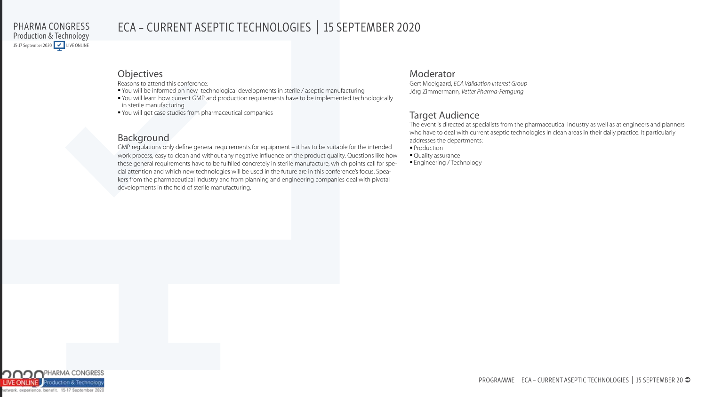### ECA – CURRENT ASEPTIC TECHNOLOGIES | 15 SEPTEMBER 2020

#### **Objectives**

Reasons to attend this conference:

- You will be informed on new technological developments in sterile / aseptic manufacturing
- You will learn how current GMP and production requirements have to be implemented technologically in sterile manufacturing
- You will get case studies from pharmaceutical companies

### Background

GMP regulations only define general requirements for equipment – it has to be suitable for the intended work process, easy to clean and without any negative influence on the product quality. Questions like how these general requirements have to be fulfilled concretely in sterile manufacture, which points call for special attention and which new technologies will be used in the future are in this conference's focus. Speakers from the pharmaceutical industry and from planning and engineering companies deal with pivotal developments in the field of sterile manufacturing.

#### Moderator

Gert Moelgaard, *ECA Validation Interest Group* Jörg Zimmermann*, Vetter Pharma-Fertigung*

### Target Audience

The event is directed at specialists from the pharmaceutical industry as well as at engineers and planners who have to deal with current aseptic technologies in clean areas in their daily practice. It particularly addresses the departments:

**Production** 

• Quality assurance **Engineering / Technology** 

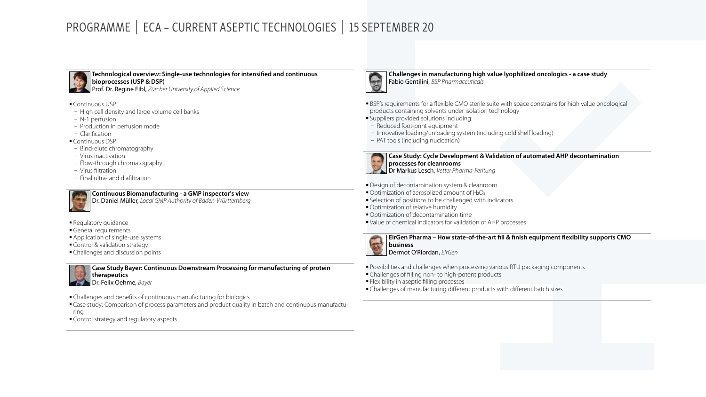### PROGRAMME | ECA – CURRENT ASEPTIC TECHNOLOGIES | 15 SEPTEMBER 20



**Technological overview: Single-use technologies for intensified and continuous bioprocesses (USP & DSP)**

- Prof. Dr. Regine Eibl, *Zürcher University of Applied Science*
- Continuous USP
- − High cell density and large volume cell banks
- − N-1 perfusion
- − Production in perfusion mode
- − Clarification
- Continuous DSP
- − Bind-elute chromatography
- − Virus inactivation
- − Flow-through chromatography
- − Virus filtration
- − Final ultra- and diafiltration



**Continuous Biomanufacturing - a GMP inspector's view**

debis es quas mi Dr. Daniel Müller, *Local GMP Authority of Baden-Württemberg*

- **Regulatory guidance**
- General requirements
- **Application of single-use systems**
- **Control & validation strategy**
- Challenges and discussion points



- Challenges and benefits of continuous manufacturing for biologics
- Case study: Comparison of process parameters and product quality in batch and continuous manufacturing
- Control strategy and regulatory aspects



**Challenges in manufacturing high value lyophilized oncologics - a case study** Fabio Gentilini, *BSP Pharmaceuticals*

- BSP's requirements for a flexible CMO sterile suite with space constrains for high value oncological products containing solvents under isolation technology
- Suppliers provided solutions including:
- − Reduced foot-print equipment
- − Innovative loading/unloading system (including cold shelf loading)
- − PAT tools (including nucleation)



**Case Study: Cycle Development & Validation of automated AHP decontamination processes for cleanrooms** Dr Markus Lesch, *Vetter Pharma-Feritung*

**Design of decontamination system & cleanroom** 

- Optimization of aerosolized amount of H<sub>2</sub>O<sub>2</sub>
- Selection of positions to be challenged with indicators
- Optimization of relative humidity
- Optimization of decontamination time
- Value of chemical indicators for validation of AHP processes

**EirGen Pharma – How state-of-the-art fill & finish equipment flexibility supports CMO** 

**business** Dermot O'Riordan, *EirGen*

Possibilities and challenges when processing various RTU packaging components

- Challenges of filling non- to high-potent products
- **Flexibility in aseptic filling processes**
- Challenges of manufacturing different products with different batch sizes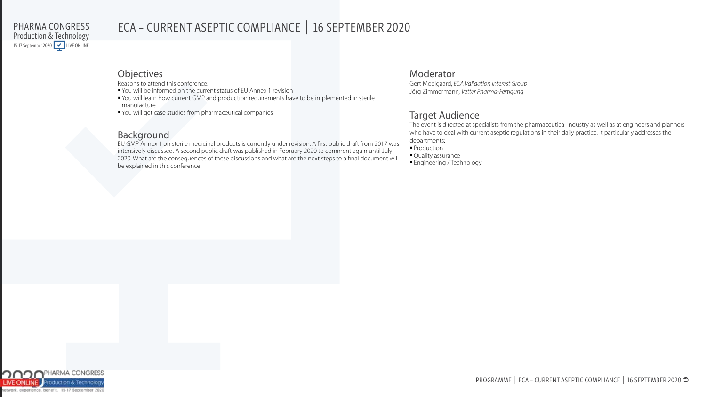### ECA – CURRENT ASEPTIC COMPLIANCE | 16 SEPTEMBER 2020

#### Objectives

Reasons to attend this conference:

- You will be informed on the current status of EU Annex 1 revision
- You will learn how current GMP and production requirements have to be implemented in sterile manufacture
- You will get case studies from pharmaceutical companies

#### Background

EU GMP Annex 1 on sterile medicinal products is currently under revision. A first public draft from 2017 was intensively discussed. A second public draft was published in February 2020 to comment again until July 2020. What are the consequences of these discussions and what are the next steps to a final document will be explained in this conference.

#### Moderator

Gert Moelgaard, *ECA Validation Interest Group* Jörg Zimmermann*, Vetter Pharma-Fertigung*

### Target Audience

The event is directed at specialists from the pharmaceutical industry as well as at engineers and planners who have to deal with current aseptic regulations in their daily practice. It particularly addresses the departments: **Production** 

• Quality assurance

Engineering / Technology

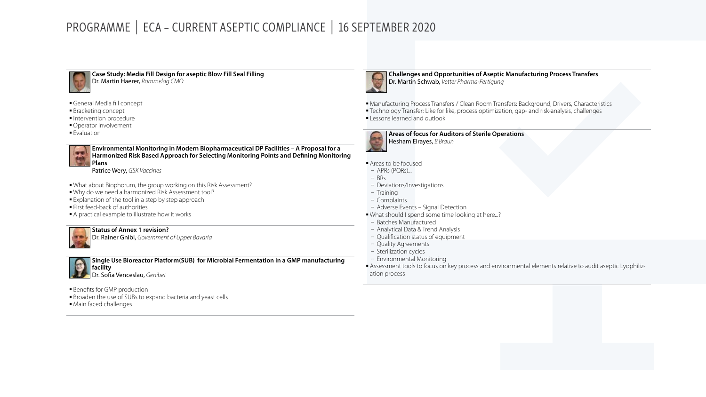### PROGRAMME | ECA – CURRENT ASEPTIC COMPLIANCE | 16 SEPTEMBER 2020



**Pit Quare Study: Media Fill Design for aseptic Blow Fill Seal Filling**<br> **Pit Media fill Concept**<br> **Pit General Media fill concept**<br> **Pitchetics assessed** Dr. Martin Haerer, *Rommelag CMO*

- General Media fill concept
- **Bracketing concept**
- Intervention procedure
- Operator involvement
- **Evaluation**



**Environmental Monitoring in Modern Biopharmaceutical DP Facilities – A Proposal for a Harmonized Risk Based Approach for Selecting Monitoring Points and Defining Monitoring Plans**

Patrice Wery, *GSK Vaccines*

- What about Biophorum, the group working on this Risk Assessment?
- Why do we need a harmonized Risk Assessment tool?
- **Explanation of the tool in a step by step approach**
- First feed-back of authorities
- A practical example to illustrate how it works



#### **Status of Annex 1 revision?**

Dr. Rainer Gnibl, *Government of Upper Bavaria*

**Firmenname**<br>**Single Use Bioreactor Platform(SUB) for Microbial Fermentation in a GMP manufacturing Straßen facility**<br>Dr. Sofia Venceslau, *Genibet* **facility**

**Benefits for GMP production** 

- **Broaden the use of SUBs to expand bacteria and yeast cells**
- $\blacksquare$  Main faced challenges



**Challenges and Opportunities of Aseptic Manufacturing Process Transfers** Dr. Martin Schwab, *Vetter Pharma-Fertigung*

- Manufacturing Process Transfers / Clean Room Transfers: Background, Drivers, Characteristics
- Technology Transfer: Like for like, process optimization, gap- and risk-analysis, challenges **Lessons learned and outlook**



**Areas of focus for Auditors of Sterile Operations** Hesham Elrayes, *B.Braun*

#### Areas to be focused

- − APRs (PQRs)...
- − BRs
- − Deviations/Investigations
- − Training
- − Complaints
- − Adverse Events Signal Detection
- What should I spend some time looking at here...?
- − Batches Manufactured
- − Analytical Data & Trend Analysis
- − Qualification status of equipment
- − Quality Agreements
- − Sterilization cycles
- − Environmental Monitoring
- Assessment tools to focus on key process and environmental elements relative to audit aseptic Lyophilization process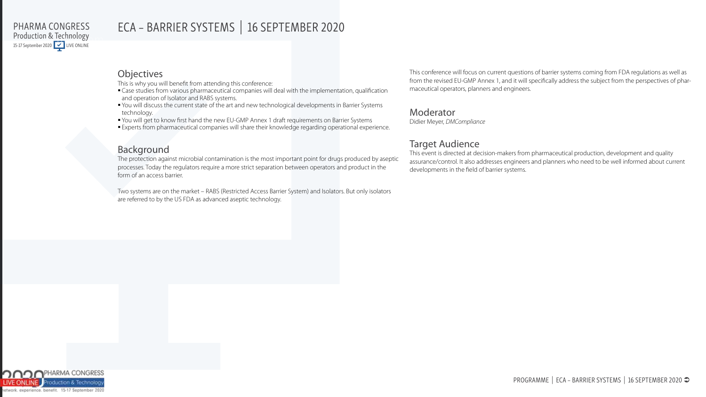### ECA – BARRIER SYSTEMS | 16 SEPTEMBER 2020

#### **Objectives**

This is why you will benefit from attending this conference:

- Case studies from various pharmaceutical companies will deal with the implementation, qualification and operation of Isolator and RABS systems.
- You will discuss the current state of the art and new technological developments in Barrier Systems technology.
- You will get to know first hand the new EU-GMP Annex 1 draft requirements on Barrier Systems
- Experts from pharmaceutical companies will share their knowledge regarding operational experience.

### Background

The protection against microbial contamination is the most important point for drugs produced by aseptic processes. Today the regulators require a more strict separation between operators and product in the form of an access barrier.

Two systems are on the market – RABS (Restricted Access Barrier System) and Isolators. But only isolators are referred to by the US FDA as advanced aseptic technology.

This conference will focus on current questions of barrier systems coming from FDA regulations as well as from the revised EU-GMP Annex 1, and it will specifically address the subject from the perspectives of pharmaceutical operators, planners and engineers.

#### Moderator

Didier Meyer, *DMCompliance*

#### Target Audience

This event is directed at decision-makers from pharmaceutical production, development and quality assurance/control. It also addresses engineers and planners who need to be well informed about current developments in the field of barrier systems.

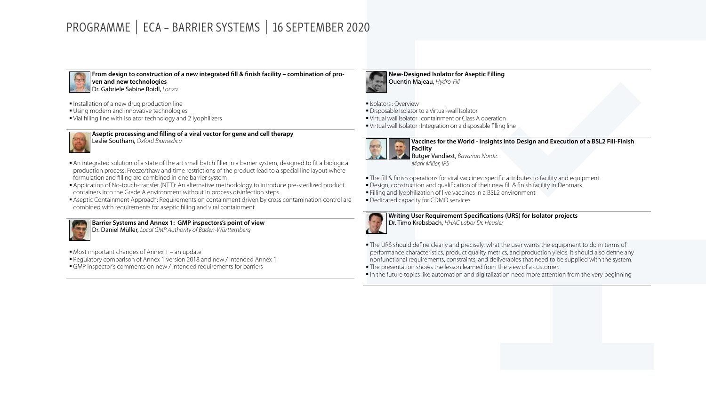### PROGRAMME | ECA – BARRIER SYSTEMS | 16 SEPTEMBER 2020



**From design to construction of a new integrated fill & finish facility – combination of proven and new technologies** Dr. Gabriele Sabine Roidl, *Lonza*

- **Installation of a new drug production line**
- **Using modern and innovative technologies**
- Vial filling line with isolator technology and 2 lyophilizers



**Aseptic processing and filling of a viral vector for gene and cell therapy** Leslie Southam, *Oxford Biomedica*

- An integrated solution of a state of the art small batch filler in a barrier system, designed to fit a biological production process: Freeze/thaw and time restrictions of the product lead to a special line layout where formulation and filling are combined in one barrier system
- Application of No-touch-transfer (NTT): An alternative methodology to introduce pre-sterilized product containers into the Grade A environment without in process disinfection steps
- Aseptic Containment Approach: Requirements on containment driven by cross contamination control are combined with requirements for aseptic filling and viral containment

**Barrier Systems and Annex 1: GMP inspectors's point of view**

Dr. Daniel Müller, *Local GMP Authority of Baden-Württemberg*

- Most important changes of Annex 1 an update
- Regulatory comparison of Annex 1 version 2018 and new / intended Annex 1
- GMP inspector's comments on new / intended requirements for barriers



**New-Designed Isolator for Aseptic Filling** Quentin Majeau, *Hydro-Fill*

- Isolators : Overview
- Disposable Isolator to a Virtual-wall Isolator
- Virtual wall Isolator : containment or Class A operation
- Virtual wall Isolator : Integration on a disposable filling line



**Vaccines for the World - Insights into Design and Execution of a BSL2 Fill-Finish Facility**

- Rutger Vandiest, *Bavarian Nordic Mark Miller, IPS*
- The fill & finish operations for viral vaccines: specific attributes to facility and equipment
- **Design, construction and qualification of their new fill & finish facility in Denmark**
- **Filling and lyophilization of live vaccines in a BSL2 environment**

**Dedicated capacity for CDMO services** 



**Writing User Requirement Specifications (URS) for Isolator projects** Dr. Timo Krebsbach, *HHAC Labor Dr. Heusler* 

 The URS should define clearly and precisely, what the user wants the equipment to do in terms of performance characteristics, product quality metrics, and production yields. It should also define any nonfunctional requirements, constraints, and deliverables that need to be supplied with the system.

The presentation shows the lesson learned from the view of a customer.

In the future topics like automation and digitalization need more attention from the very beginning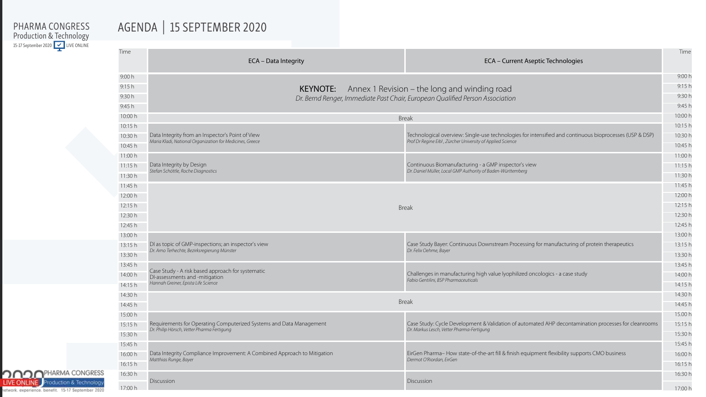# AGENDA | 15 SEPTEMBER 2020

| Time    | ECA - Data Integrity                                                                | ECA - Current Aseptic Technologies                                                                      | Time    |
|---------|-------------------------------------------------------------------------------------|---------------------------------------------------------------------------------------------------------|---------|
| 9:00h   |                                                                                     |                                                                                                         | 9:00h   |
| 9:15h   | <b>KEYNOTE:</b>                                                                     | Annex 1 Revision – the long and winding road                                                            | 9:15h   |
| 9:30 h  |                                                                                     | Dr. Bernd Renger, Immediate Past Chair, European Qualified Person Association                           | 9:30 h  |
| 9:45h   |                                                                                     |                                                                                                         | 9:45h   |
| 10:00 h |                                                                                     | <b>Break</b>                                                                                            | 10:00 h |
| 10:15 h |                                                                                     |                                                                                                         | 10:15 h |
| 10:30 h | Data Integrity from an Inspector's Point of View                                    | Technological overview: Single-use technologies for intensified and continuous bioprocesses (USP & DSP) | 10:30 h |
| 10:45 h | Maria Kladi, National Organization for Medicines, Greece                            | Prof Dr Regine Eibl, Zürcher University of Applied Science                                              | 10:45 h |
| 11:00 h |                                                                                     |                                                                                                         | 11:00 h |
| 11:15h  | Data Integrity by Design                                                            | Continuous Biomanufacturing - a GMP inspector's view                                                    | 11:15h  |
| 11:30 h | Stefan Schöttle, Roche Diagnostics                                                  | Dr. Daniel Müller, Local GMP Authority of Baden-Württemberg                                             |         |
| 11:45 h |                                                                                     |                                                                                                         | 11:45 h |
| 12:00 h |                                                                                     |                                                                                                         | 12:00 h |
| 12:15 h |                                                                                     | <b>Break</b>                                                                                            |         |
| 12:30 h |                                                                                     |                                                                                                         |         |
| 12:45 h |                                                                                     |                                                                                                         | 12:45 h |
| 13:00 h |                                                                                     |                                                                                                         | 13:00 h |
| 13:15 h | DI as topic of GMP-inspections; an inspector's view                                 | Case Study Bayer: Continuous Downstream Processing for manufacturing of protein therapeutics            | 13:15 h |
| 13:30 h | Dr. Arno Terhechte, Bezirksregierung Münster                                        | Dr. Felix Oehme, Bayer                                                                                  |         |
| 13:45 h |                                                                                     |                                                                                                         | 13:45 h |
| 14:00 h | Case Study - A risk based approach for systematic<br>DI-assessments and -mitigation | Challenges in manufacturing high value lyophilized oncologics - a case study                            | 14:00 h |
| 14:15 h | Hannah Greiner, Epista Life Science                                                 | Fabio Gentilini, BSP Pharmaceuticals                                                                    |         |
| 14:30 h |                                                                                     |                                                                                                         | 14:30 h |
| 14:45 h |                                                                                     | <b>Break</b>                                                                                            | 14:45 h |
| 15:00 h |                                                                                     |                                                                                                         | 15.00 h |
| 15:15 h | Requirements for Operating Computerized Systems and Data Management                 | Case Study: Cycle Development & Validation of automated AHP decontamination processes for cleanrooms    | 15:15 h |
| 15:30 h | Dr. Philip Hörsch, Vetter Pharma Fertigung                                          | Dr. Markus Lesch, Vetter Pharma-Fertigung                                                               | 15:30 h |
| 15:45 h |                                                                                     |                                                                                                         | 15:45 h |
| 16:00 h | Data Integrity Compliance Improvement: A Combined Approach to Mitigation            | EirGen Pharma- How state-of-the-art fill & finish equipment flexibility supports CMO business           | 16:00 h |
| 16:15 h | Matthias Runge, Bayer                                                               | Dermot O'Riordan, EirGen                                                                                |         |
| 16:30 h |                                                                                     |                                                                                                         | 16:30 h |
|         | Discussion                                                                          | Discussion                                                                                              | 17:00 h |
| 17:00 h |                                                                                     |                                                                                                         |         |

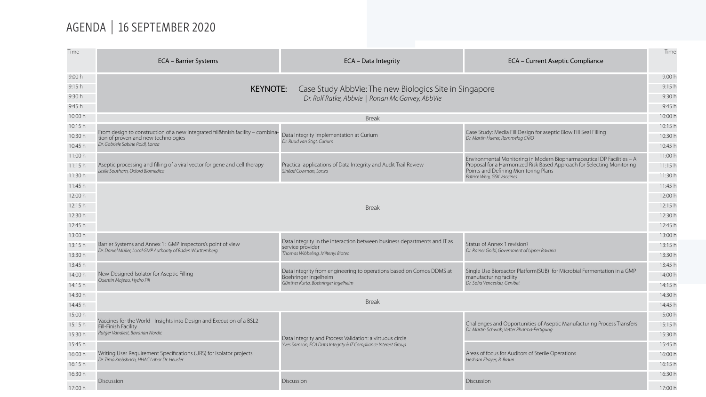# AGENDA | 16 SEPTEMBER 2020

| Time               |                                                                                                                               |                                                                                              |                                                                                                                             | Time               |
|--------------------|-------------------------------------------------------------------------------------------------------------------------------|----------------------------------------------------------------------------------------------|-----------------------------------------------------------------------------------------------------------------------------|--------------------|
|                    | <b>ECA - Barrier Systems</b>                                                                                                  | ECA - Data Integrity                                                                         | <b>ECA</b> - Current Aseptic Compliance                                                                                     |                    |
| 9.00h              |                                                                                                                               |                                                                                              |                                                                                                                             | 9.00 h             |
| 9:15h              | Case Study AbbVie: The new Biologics Site in Singapore<br><b>KEYNOTE:</b><br>Dr. Rolf Ratke, Abbvie   Ronan Mc Garvey, AbbVie |                                                                                              |                                                                                                                             | 9:15h              |
| 9:30 h             |                                                                                                                               |                                                                                              |                                                                                                                             | 9:30h              |
| 9:45 h             |                                                                                                                               |                                                                                              |                                                                                                                             | 9:45 h             |
| 10:00 h            |                                                                                                                               | <b>Break</b>                                                                                 |                                                                                                                             | 10:00 h            |
| 10:15 h            |                                                                                                                               | Data Integrity implementation at Curium                                                      |                                                                                                                             | 10:15 h            |
| 10:30 h            | From design to construction of a new integrated fill&finish facility – combina-<br>tion of proven and new technologies        |                                                                                              | Case Study: Media Fill Design for aseptic Blow Fill Seal Filling<br>Dr. Martin Haerer, Rommelag CMO                         | 10:30 h            |
| 10:45 h            | Dr. Gabriele Sabine Roidl, Lonza                                                                                              | Dr. Ruud van Stigt, Curium                                                                   |                                                                                                                             | 10:45 h            |
| 11:00 h            |                                                                                                                               |                                                                                              | Environmental Monitoring in Modern Biopharmaceutical DP Facilities - A                                                      | 11:00 h            |
| 11:15h             | Aseptic processing and filling of a viral vector for gene and cell therapy<br>Leslie Southam, Oxford Biomedica                | Practical applications of Data Integrity and Audit Trail Review<br>Sinéad Cowman, Lonza      | Proposal for a Harmonized Risk Based Approach for Selecting Monitoring<br>Points and Defining Monitoring Plans              | 11:15h             |
| 11:30 h            |                                                                                                                               |                                                                                              | Patrice Wery, GSK Vaccines                                                                                                  | 11:30 h            |
| 11:45 h            |                                                                                                                               |                                                                                              |                                                                                                                             | 11:45 h            |
| 12:00 h            |                                                                                                                               |                                                                                              |                                                                                                                             | 12:00 h            |
| 12:15 h            |                                                                                                                               | <b>Break</b>                                                                                 |                                                                                                                             | 12:15 h            |
| 12:30 h            |                                                                                                                               |                                                                                              |                                                                                                                             | 12:30 h            |
| 12:45 h            |                                                                                                                               |                                                                                              |                                                                                                                             | 12:45 h            |
| 13:00 h            |                                                                                                                               | Data Integrity in the interaction between business departments and IT as<br>service provider | Status of Annex 1 revision?<br>Dr. Rainer Gnibl, Government of Upper Bavaria                                                | 13:00 h            |
| 13:15h             | Barrier Systems and Annex 1: GMP inspectors's point of view<br>Dr. Daniel Müller, Local GMP Authority of Baden Württemberg    |                                                                                              |                                                                                                                             | 13:15 h            |
| 13:30 h            |                                                                                                                               | Thomas Wibbeling, Miltenyi Biotec                                                            |                                                                                                                             | 13:30 h            |
| 13:45 h            |                                                                                                                               | Data integrity from engineering to operations based on Comos DDMS at                         | Single Use Bioreactor Platform(SUB) for Microbial Fermentation in a GMP                                                     | 13:45 h            |
| 14:00 h            | New-Designed Isolator for Aseptic Filling<br>Quentin Majeau, Hydro Fill                                                       | Boehringer Ingelheim                                                                         | manufacturing facility<br>Dr. Sofia Venceslau, Genibet                                                                      | 14:00 h            |
| 14:15h             |                                                                                                                               | Günther Kurta, Boehringer Ingelheim                                                          |                                                                                                                             | 14:15 h            |
| 14:30 h            |                                                                                                                               | <b>Break</b>                                                                                 |                                                                                                                             | 14:30 h            |
| 14:45 h            |                                                                                                                               |                                                                                              |                                                                                                                             | 14:45 h            |
| 15:00 h            | Vaccines for the World - Insights into Design and Execution of a BSL2                                                         |                                                                                              | Challenges and Opportunities of Aseptic Manufacturing Process Transfers                                                     | 15:00 h            |
| 15:15 h            | Fill-Finish Facility<br>Rutger Vandiest, Bavarian Nordic                                                                      |                                                                                              | Dr. Martin Schwab, Vetter Pharma-Fertigung<br>Areas of focus for Auditors of Sterile Operations<br>Hesham Elrayes, B. Braun | 15:15 h            |
| 15:30 h            |                                                                                                                               | Data Integrity and Process Validation: a virtuous circle                                     |                                                                                                                             | 15:30 h            |
| 15:45 h<br>16:00 h | Writing User Requirement Specifications (URS) for Isolator projects                                                           | Yves Samson, ECA Data Integrity & IT Compliance Interest Group                               |                                                                                                                             | 15:45 h<br>16:00 h |
| 16:15 h            | Dr. Timo Krebsbach, HHAC Labor Dr. Heusler                                                                                    |                                                                                              |                                                                                                                             | 16:15 h            |
| 16:30 h            |                                                                                                                               |                                                                                              |                                                                                                                             | 16:30 h            |
|                    | Discussion                                                                                                                    | Discussion                                                                                   | Discussion                                                                                                                  |                    |
| 17:00 h            |                                                                                                                               |                                                                                              |                                                                                                                             | 17:00 h            |